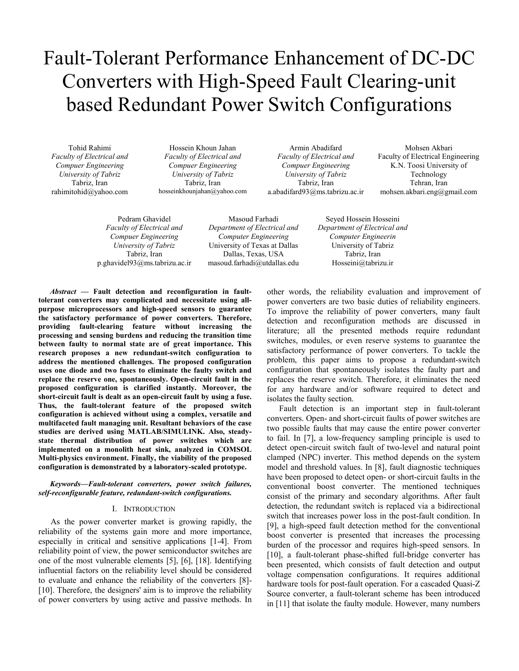# Fault-Tolerant Performance Enhancement of DC-DC Converters with High-Speed Fault Clearing-unit based Redundant Power Switch Configurations

Tohid Rahimi *Faculty of Electrical and Compuer Engineering University of Tabriz*  Tabriz, Iran rahimitohid@yahoo.com

Hossein Khoun Jahan *Faculty of Electrical and Compuer Engineering University of Tabriz*  Tabriz, Iran hosseinkhounjahan@yahoo.com

Armin Abadifard *Faculty of Electrical and Compuer Engineering University of Tabriz*  Tabriz, Iran a.abadifard93@ms.tabrizu.ac.ir

Mohsen Akbari Faculty of Electrical Engineering K.N. Toosi University of Technology Tehran, Iran mohsen.akbari.eng@gmail.com

Pedram Ghavidel *Faculty of Electrical and Compuer Engineering University of Tabriz*  Tabriz, Iran p.ghavidel93@ms.tabrizu.ac.ir

Masoud Farhadi *Department of Electrical and Computer Engineering* University of Texas at Dallas Dallas, Texas, USA masoud.farhadi@utdallas.edu

Seyed Hossein Hosseini *Department of Electrical and Computer Engineerin* University of Tabriz Tabriz, Iran Hosseini@tabrizu.ir

*Abstract* **— Fault detection and reconfiguration in faulttolerant converters may complicated and necessitate using allpurpose microprocessors and high-speed sensors to guarantee the satisfactory performance of power converters. Therefore, providing fault-clearing feature without increasing the processing and sensing burdens and reducing the transition time between faulty to normal state are of great importance. This research proposes a new redundant-switch configuration to address the mentioned challenges. The proposed configuration uses one diode and two fuses to eliminate the faulty switch and replace the reserve one, spontaneously. Open-circuit fault in the proposed configuration is clarified instantly. Moreover, the short-circuit fault is dealt as an open-circuit fault by using a fuse. Thus, the fault-tolerant feature of the proposed switch configuration is achieved without using a complex, versatile and multifaceted fault managing unit. Resultant behaviors of the case studies are derived using MATLAB/SIMULINK. Also, steadystate thermal distribution of power switches which are implemented on a monolith heat sink, analyzed in COMSOL Multi-physics environment. Finally, the viability of the proposed configuration is demonstrated by a laboratory-scaled prototype.** 

*Keywords—Fault-tolerant converters, power switch failures, self-reconfigurable feature, redundant-switch configurations.* 

# I. INTRODUCTION

As the power converter market is growing rapidly, the reliability of the systems gain more and more importance, especially in critical and sensitive applications [1-4]. From reliability point of view, the power semiconductor switches are one of the most vulnerable elements [5], [6], [18]. Identifying influential factors on the reliability level should be considered to evaluate and enhance the reliability of the converters [8]- [10]. Therefore, the designers' aim is to improve the reliability of power converters by using active and passive methods. In other words, the reliability evaluation and improvement of power converters are two basic duties of reliability engineers. To improve the reliability of power converters, many fault detection and reconfiguration methods are discussed in literature; all the presented methods require redundant switches, modules, or even reserve systems to guarantee the satisfactory performance of power converters. To tackle the problem, this paper aims to propose a redundant-switch configuration that spontaneously isolates the faulty part and replaces the reserve switch. Therefore, it eliminates the need for any hardware and/or software required to detect and isolates the faulty section.

Fault detection is an important step in fault-tolerant converters. Open- and short-circuit faults of power switches are two possible faults that may cause the entire power converter to fail. In [7], a low-frequency sampling principle is used to detect open-circuit switch fault of two-level and natural point clamped (NPC) inverter. This method depends on the system model and threshold values. In [8], fault diagnostic techniques have been proposed to detect open- or short-circuit faults in the conventional boost converter. The mentioned techniques consist of the primary and secondary algorithms. After fault detection, the redundant switch is replaced via a bidirectional switch that increases power loss in the post-fault condition. In [9], a high-speed fault detection method for the conventional boost converter is presented that increases the processing burden of the processor and requires high-speed sensors. In [10], a fault-tolerant phase-shifted full-bridge converter has been presented, which consists of fault detection and output voltage compensation configurations. It requires additional hardware tools for post-fault operation. For a cascaded Quasi-Z Source converter, a fault-tolerant scheme has been introduced in [11] that isolate the faulty module. However, many numbers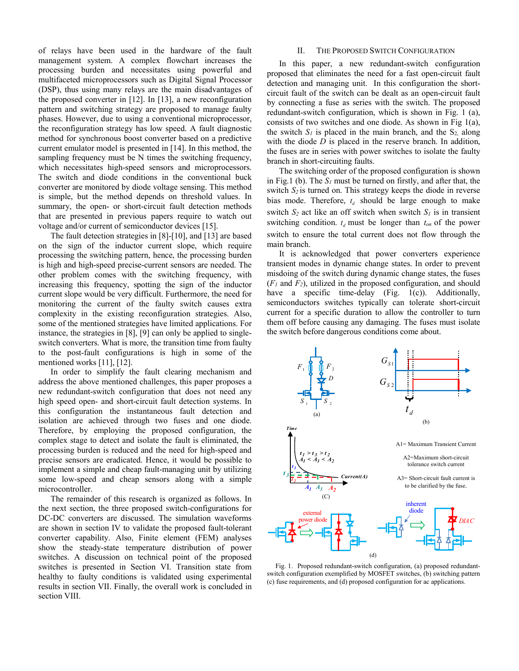of relays have been used in the hardware of the fault management system. A complex flowchart increases the processing burden and necessitates using powerful and multifaceted microprocessors such as Digital Signal Processor (DSP), thus using many relays are the main disadvantages of the proposed converter in [12]. In [13], a new reconfiguration pattern and switching strategy are proposed to manage faulty phases. However, due to using a conventional microprocessor, the reconfiguration strategy has low speed. A fault diagnostic method for synchronous boost converter based on a predictive current emulator model is presented in [14]. In this method, the sampling frequency must be N times the switching frequency, which necessitates high-speed sensors and microprocessors. The switch and diode conditions in the conventional buck converter are monitored by diode voltage sensing. This method is simple, but the method depends on threshold values. In summary, the open- or short-circuit fault detection methods that are presented in previous papers require to watch out voltage and/or current of semiconductor devices [15].

The fault detection strategies in [8]-[10], and [13] are based on the sign of the inductor current slope, which require processing the switching pattern, hence, the processing burden is high and high-speed precise-current sensors are needed. The other problem comes with the switching frequency, with increasing this frequency, spotting the sign of the inductor current slope would be very difficult. Furthermore, the need for monitoring the current of the faulty switch causes extra complexity in the existing reconfiguration strategies. Also, some of the mentioned strategies have limited applications. For instance, the strategies in [8], [9] can only be applied to singleswitch converters. What is more, the transition time from faulty to the post-fault configurations is high in some of the mentioned works [11], [12].

In order to simplify the fault clearing mechanism and address the above mentioned challenges, this paper proposes a new redundant-switch configuration that does not need any high speed open- and short-circuit fault detection systems. In this configuration the instantaneous fault detection and isolation are achieved through two fuses and one diode. Therefore, by employing the proposed configuration, the complex stage to detect and isolate the fault is eliminated, the processing burden is reduced and the need for high-speed and precise sensors are eradicated. Hence, it would be possible to implement a simple and cheap fault-managing unit by utilizing some low-speed and cheap sensors along with a simple microcontroller.

The remainder of this research is organized as follows. In the next section, the three proposed switch-configurations for DC-DC converters are discussed. The simulation waveforms are shown in section IV to validate the proposed fault-tolerant converter capability. Also, Finite element (FEM) analyses show the steady-state temperature distribution of power switches. A discussion on technical point of the proposed switches is presented in Section VI. Transition state from healthy to faulty conditions is validated using experimental results in section VII. Finally, the overall work is concluded in section VIII.

### II. THE PROPOSED SWITCH CONFIGURATION

In this paper, a new redundant-switch configuration proposed that eliminates the need for a fast open-circuit fault detection and managing unit. In this configuration the shortcircuit fault of the switch can be dealt as an open-circuit fault by connecting a fuse as series with the switch. The proposed redundant-switch configuration, which is shown in Fig. 1 (a), consists of two switches and one diode. As shown in Fig 1(a), the switch  $S_l$  is placed in the main branch, and the  $S_2$  along with the diode *D* is placed in the reserve branch. In addition, the fuses are in series with power switches to isolate the faulty branch in short-circuiting faults.

The switching order of the proposed configuration is shown in Fig.1 (b). The *S1* must be turned on firstly, and after that, the switch *S<sup>2</sup>* is turned on. This strategy keeps the diode in reverse bias mode. Therefore,  $t_d$  should be large enough to make switch  $S_2$  act like an off switch when switch  $S_1$  is in transient switching condition.  $t_d$  must be longer than  $t_{on}$  of the power switch to ensure the total current does not flow through the main branch.

It is acknowledged that power converters experience transient modes in dynamic change states. In order to prevent misdoing of the switch during dynamic change states, the fuses (*F1* and *F2*), utilized in the proposed configuration, and should have a specific time-delay (Fig. 1(c)). Additionally, semiconductors switches typically can tolerate short-circuit current for a specific duration to allow the controller to turn them off before causing any damaging. The fuses must isolate the switch before dangerous conditions come about.



Fig. 1. Proposed redundant-switch configuration, (a) proposed redundantswitch configuration exemplified by MOSFET switches, (b) switching pattern (c) fuse requirements, and (d) proposed configuration for ac applications.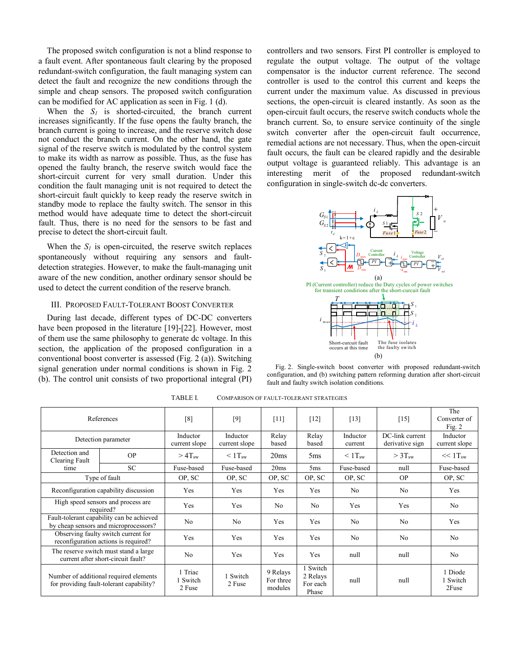The proposed switch configuration is not a blind response to a fault event. After spontaneous fault clearing by the proposed redundant-switch configuration, the fault managing system can detect the fault and recognize the new conditions through the simple and cheap sensors. The proposed switch configuration can be modified for AC application as seen in Fig. 1 (d).

When the  $S_I$  is shorted-circuited, the branch current increases significantly. If the fuse opens the faulty branch, the branch current is going to increase, and the reserve switch dose not conduct the branch current. On the other hand, the gate signal of the reserve switch is modulated by the control system to make its width as narrow as possible. Thus, as the fuse has opened the faulty branch, the reserve switch would face the short-circuit current for very small duration. Under this condition the fault managing unit is not required to detect the short-circuit fault quickly to keep ready the reserve switch in standby mode to replace the faulty switch. The sensor in this method would have adequate time to detect the short-circuit fault. Thus, there is no need for the sensors to be fast and precise to detect the short-circuit fault.

When the  $S_I$  is open-circuited, the reserve switch replaces spontaneously without requiring any sensors and faultdetection strategies. However, to make the fault-managing unit aware of the new condition, another ordinary sensor should be used to detect the current condition of the reserve branch.

# III. PROPOSED FAULT-TOLERANT BOOST CONVERTER

During last decade, different types of DC-DC converters have been proposed in the literature [19]-[22]. However, most of them use the same philosophy to generate dc voltage. In this section, the application of the proposed configuration in a conventional boost converter is assessed (Fig. 2 (a)). Switching signal generation under normal conditions is shown in Fig. 2 (b). The control unit consists of two proportional integral (PI) controllers and two sensors. First PI controller is employed to regulate the output voltage. The output of the voltage compensator is the inductor current reference. The second controller is used to the control this current and keeps the current under the maximum value. As discussed in previous sections, the open-circuit is cleared instantly. As soon as the open-circuit fault occurs, the reserve switch conducts whole the branch current. So, to ensure service continuity of the single switch converter after the open-circuit fault occurrence, remedial actions are not necessary. Thus, when the open-circuit fault occurs, the fault can be cleared rapidly and the desirable output voltage is guaranteed reliably. This advantage is an interesting merit of the proposed redundant-switch configuration in single-switch dc-dc converters.



Fig. 2. Single-switch boost converter with proposed redundant-switch configuration, and (b) switching pattern reforming duration after short-circuit fault and faulty switch isolation conditions.

| References                                                                         |                                                                                    | [8]                           | [9]                       | $[11]$                           | $[12]$                                    | $[13]$              | $[15]$                             | The<br>Converter of<br>Fig. $2$ |
|------------------------------------------------------------------------------------|------------------------------------------------------------------------------------|-------------------------------|---------------------------|----------------------------------|-------------------------------------------|---------------------|------------------------------------|---------------------------------|
|                                                                                    | Detection parameter                                                                | Inductor<br>current slope     | Inductor<br>current slope | Relay<br>based                   | Relay<br>based                            | Inductor<br>current | DC-link current<br>derivative sign | Inductor<br>current slope       |
| Detection and<br>Clearing Fault                                                    | OP                                                                                 | $>4$ Tsw                      | $\leq 1$ T <sub>sw</sub>  | 20ms                             | 5ms                                       | $\leq 1$ Tsw        | $>3$ Tsw                           | $<< 1$ Tsw                      |
| time                                                                               | <b>SC</b>                                                                          | Fuse-based                    | Fuse-based                | 20ms                             | 5 <sub>ms</sub>                           | Fuse-based          | null                               | Fuse-based                      |
| Type of fault                                                                      |                                                                                    | OP, SC                        | OP, SC                    | OP, SC                           | OP, SC                                    | OP, SC              | <b>OP</b>                          | OP, SC                          |
| Reconfiguration capability discussion                                              |                                                                                    | Yes                           | Yes                       | Yes                              | Yes                                       | No                  | N <sub>o</sub>                     | Yes                             |
| High speed sensors and process are<br>required?                                    |                                                                                    | Yes                           | Yes                       | No                               | N <sub>o</sub>                            | Yes                 | Yes                                | N <sub>o</sub>                  |
|                                                                                    | Fault-tolerant capability can be achieved<br>by cheap sensors and microprocessors? | N <sub>o</sub>                | N <sub>o</sub>            | Yes                              | Yes                                       | No                  | N <sub>0</sub>                     | Yes                             |
| Observing faulty switch current for<br>reconfiguration actions is required?        |                                                                                    | Yes                           | Yes                       | Yes                              | Yes                                       | No                  | N <sub>o</sub>                     | N <sub>o</sub>                  |
| The reserve switch must stand a large<br>current after short-circuit fault?        |                                                                                    | N <sub>o</sub>                | Yes                       | Yes                              | Yes                                       | null                | null                               | N <sub>o</sub>                  |
| Number of additional required elements<br>for providing fault-tolerant capability? |                                                                                    | 1 Triac<br>1 Switch<br>2 Fuse | 1 Switch<br>2 Fuse        | 9 Relays<br>For three<br>modules | 1 Switch<br>2 Relays<br>For each<br>Phase | null                | null                               | 1 Diode<br>1 Switch<br>2Fuse    |

TABLE I. COMPARISON OF FAULT-TOLERANT STRATEGIES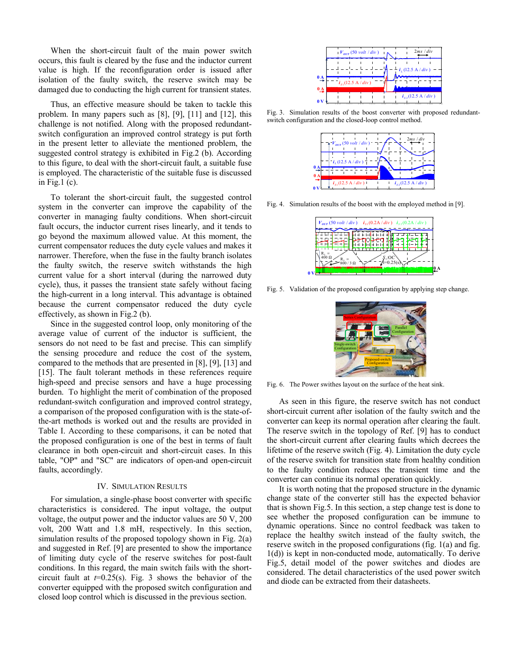When the short-circuit fault of the main power switch occurs, this fault is cleared by the fuse and the inductor current value is high. If the reconfiguration order is issued after isolation of the faulty switch, the reserve switch may be damaged due to conducting the high current for transient states.

Thus, an effective measure should be taken to tackle this problem. In many papers such as [8], [9], [11] and [12], this challenge is not notified. Along with the proposed redundantswitch configuration an improved control strategy is put forth in the present letter to alleviate the mentioned problem, the suggested control strategy is exhibited in Fig.2 (b). According to this figure, to deal with the short-circuit fault, a suitable fuse is employed. The characteristic of the suitable fuse is discussed in Fig.1 (c).

To tolerant the short-circuit fault, the suggested control system in the converter can improve the capability of the converter in managing faulty conditions. When short-circuit fault occurs, the inductor current rises linearly, and it tends to go beyond the maximum allowed value. At this moment, the current compensator reduces the duty cycle values and makes it narrower. Therefore, when the fuse in the faulty branch isolates the faulty switch, the reserve switch withstands the high current value for a short interval (during the narrowed duty cycle), thus, it passes the transient state safely without facing the high-current in a long interval. This advantage is obtained because the current compensator reduced the duty cycle effectively, as shown in Fig.2 (b).

Since in the suggested control loop, only monitoring of the average value of current of the inductor is sufficient, the sensors do not need to be fast and precise. This can simplify the sensing procedure and reduce the cost of the system, compared to the methods that are presented in [8], [9], [13] and [15]. The fault tolerant methods in these references require high-speed and precise sensors and have a huge processing burden. To highlight the merit of combination of the proposed redundant-switch configuration and improved control strategy, a comparison of the proposed configuration with is the state-ofthe-art methods is worked out and the results are provided in Table I. According to these comparisons, it can be noted that the proposed configuration is one of the best in terms of fault clearance in both open-circuit and short-circuit cases. In this table, "OP" and "SC" are indicators of open-and open-circuit faults, accordingly.

### IV. SIMULATION RESULTS

For simulation, a single-phase boost converter with specific characteristics is considered. The input voltage, the output voltage, the output power and the inductor values are 50 V, 200 volt, 200 Watt and 1.8 mH, respectively. In this section, simulation results of the proposed topology shown in Fig. 2(a) and suggested in Ref. [9] are presented to show the importance of limiting duty cycle of the reserve switches for post-fault conditions. In this regard, the main switch fails with the shortcircuit fault at  $t=0.25(s)$ . Fig. 3 shows the behavior of the converter equipped with the proposed switch configuration and closed loop control which is discussed in the previous section.



Fig. 3. Simulation results of the boost converter with proposed redundantswitch configuration and the closed-loop control method.



Fig. 4. Simulation results of the boost with the employed method in [9].

| $V_{\text{OUT}}(50 \text{ volt}/div)$ $i_{s1}(0.2 \text{A}/div)$ $i_{s2}(0.2 \text{A}/div)$ |  |  |
|---------------------------------------------------------------------------------------------|--|--|
|                                                                                             |  |  |
|                                                                                             |  |  |
| $\mathfrak{D}$ / 3 $\Omega$                                                                 |  |  |
|                                                                                             |  |  |

Fig. 5. Validation of the proposed configuration by applying step change.

 $\mathbf{0}$ 



Fig. 6. The Power swithes layout on the surface of the heat sink.

As seen in this figure, the reserve switch has not conduct short-circuit current after isolation of the faulty switch and the converter can keep its normal operation after clearing the fault. The reserve switch in the topology of Ref. [9] has to conduct the short-circuit current after clearing faults which decrees the lifetime of the reserve switch (Fig. 4). Limitation the duty cycle of the reserve switch for transition state from healthy condition to the faulty condition reduces the transient time and the converter can continue its normal operation quickly.

It is worth noting that the proposed structure in the dynamic change state of the converter still has the expected behavior that is shown Fig.5. In this section, a step change test is done to see whether the proposed configuration can be immune to dynamic operations. Since no control feedback was taken to replace the healthy switch instead of the faulty switch, the reserve switch in the proposed configurations (fig. 1(a) and fig. 1(d)) is kept in non-conducted mode, automatically. To derive Fig.5, detail model of the power switches and diodes are considered. The detail characteristics of the used power switch and diode can be extracted from their datasheets.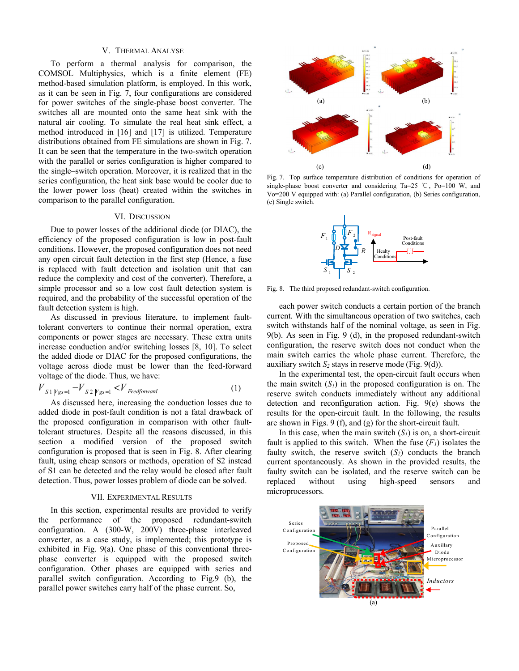### V. THERMAL ANALYSE

To perform a thermal analysis for comparison, the COMSOL Multiphysics, which is a finite element (FE) method-based simulation platform, is employed. In this work, as it can be seen in Fig. 7, four configurations are considered for power switches of the single-phase boost converter. The switches all are mounted onto the same heat sink with the natural air cooling. To simulate the real heat sink effect, a method introduced in [16] and [17] is utilized. Temperature distributions obtained from FE simulations are shown in Fig. 7. It can be seen that the temperature in the two-switch operation with the parallel or series configuration is higher compared to the single–switch operation. Moreover, it is realized that in the series configuration, the heat sink base would be cooler due to the lower power loss (heat) created within the switches in comparison to the parallel configuration.

# VI. DISCUSSION

Due to power losses of the additional diode (or DIAC), the efficiency of the proposed configuration is low in post-fault conditions. However, the proposed configuration does not need any open circuit fault detection in the first step (Hence, a fuse is replaced with fault detection and isolation unit that can reduce the complexity and cost of the converter). Therefore, a simple processor and so a low cost fault detection system is required, and the probability of the successful operation of the fault detection system is high.

As discussed in previous literature, to implement faulttolerant converters to continue their normal operation, extra components or power stages are necessary. These extra units increase conduction and/or switching losses [8, 10]. To select the added diode or DIAC for the proposed configurations, the voltage across diode must be lower than the feed-forward voltage of the diode. Thus, we have:

$$
V_{S1 \mid Vgs=1} - V_{S2 \mid Vgs=1} < V_{\text{Feedforward}} \tag{1}
$$

As discussed here, increasing the conduction losses due to added diode in post-fault condition is not a fatal drawback of the proposed configuration in comparison with other faulttolerant structures. Despite all the reasons discussed, in this section a modified version of the proposed switch configuration is proposed that is seen in Fig. 8. After clearing fault, using cheap sensors or methods, operation of S2 instead of S1 can be detected and the relay would be closed after fault detection. Thus, power losses problem of diode can be solved.

### VII. EXPERIMENTAL RESULTS

In this section, experimental results are provided to verify the performance of the proposed redundant-switch configuration. A (300-W, 200V) three-phase interleaved converter, as a case study, is implemented; this prototype is exhibited in Fig. 9(a). One phase of this conventional threephase converter is equipped with the proposed switch configuration. Other phases are equipped with series and parallel switch configuration. According to Fig.9 (b), the parallel power switches carry half of the phase current. So,



Fig. 7. Top surface temperature distribution of conditions for operation of single-phase boost converter and considering Ta=25 °C, Po=100 W, and Vo=200 V equipped with: (a) Parallel configuration, (b) Series configuration, (c) Single switch.



Fig. 8. The third proposed redundant-switch configuration.

each power switch conducts a certain portion of the branch current. With the simultaneous operation of two switches, each switch withstands half of the nominal voltage, as seen in Fig. 9(b). As seen in Fig. 9 (d), in the proposed redundant-switch configuration, the reserve switch does not conduct when the main switch carries the whole phase current. Therefore, the auxiliary switch  $S_2$  stays in reserve mode (Fig. 9(d)).

In the experimental test, the open-circuit fault occurs when the main switch  $(S<sub>I</sub>)$  in the proposed configuration is on. The reserve switch conducts immediately without any additional detection and reconfiguration action. Fig. 9(e) shows the results for the open-circuit fault. In the following, the results are shown in Figs. 9 (f), and (g) for the short-circuit fault.

In this case, when the main switch  $(S_I)$  is on, a short-circuit fault is applied to this switch. When the fuse  $(F<sub>I</sub>)$  isolates the faulty switch, the reserve switch  $(S_2)$  conducts the branch current spontaneously. As shown in the provided results, the faulty switch can be isolated, and the reserve switch can be replaced without using high-speed sensors and microprocessors.